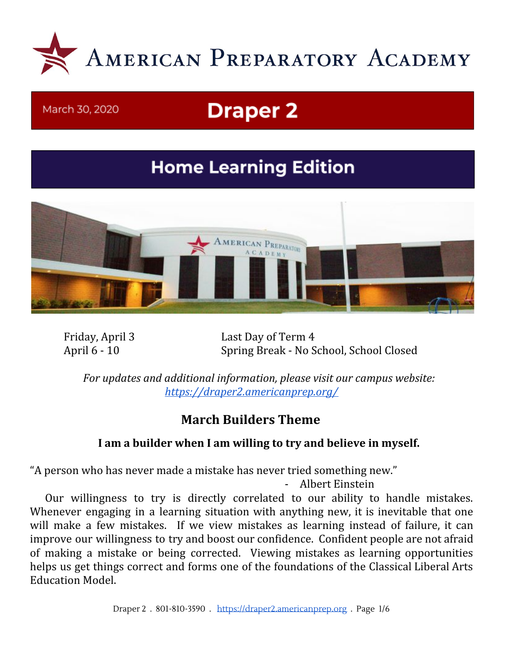

#### March 30, 2020

# **Draper 2**

## **Home Learning Edition**



Friday, April 3 Last Day of Term 4 April 6 - 10 Spring Break - No School, School Closed

*For updates and additional information, please visit our campus website: <https://draper2.americanprep.org/>*

## **March Builders Theme**

#### **I am a builder when I am willing to try and believe in myself.**

"A person who has never made a mistake has never tried something new."

- Albert Einstein

Our willingness to try is directly correlated to our ability to handle mistakes. Whenever engaging in a learning situation with anything new, it is inevitable that one will make a few mistakes. If we view mistakes as learning instead of failure, it can improve our willingness to try and boost our confidence. Confident people are not afraid of making a mistake or being corrected. Viewing mistakes as learning opportunities helps us get things correct and forms one of the foundations of the Classical Liberal Arts Education Model.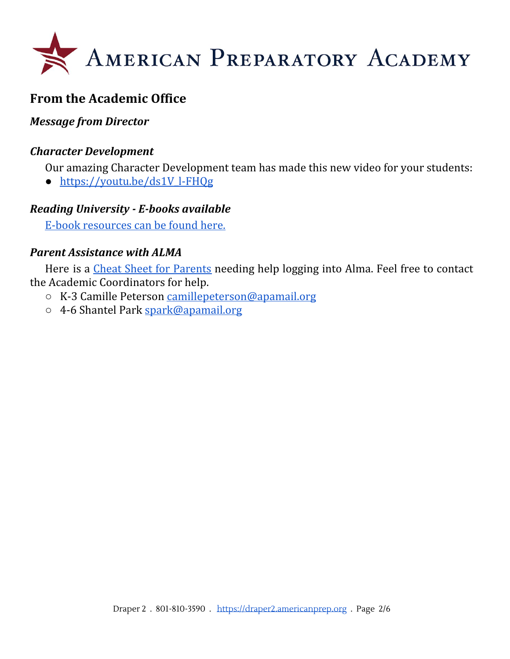

## **From the Academic Office**

#### *Message from Director*

#### *Character Development*

Our amazing Character Development team has made this new video for your students:

● [https://youtu.be/ds1V\\_l-FHQg](https://youtu.be/ds1V_l-FHQg)

#### *Reading University - E-books available*

E-book [resources](https://docs.google.com/document/d/1G23g-xJCj2hXXT0b2_LNtzxR1anfeBjc4qH4U7Gp1i8/edit) can be found here.

#### *Parent Assistance with ALMA*

Here is a *Cheat Sheet for [Parents](https://draper2.americanprep.org/wp-content/uploads/sites/3/2020/03/Alma-Parent-Cheat-Sheet.pdf)* needing help logging into Alma. Feel free to contact the Academic Coordinators for help.

- K-3 Camille Peterson [camillepeterson@apamail.org](mailto:camillepeterson@apamail.org)
- 4-6 Shantel Park [spark@apamail.org](mailto:spark@apamail.org)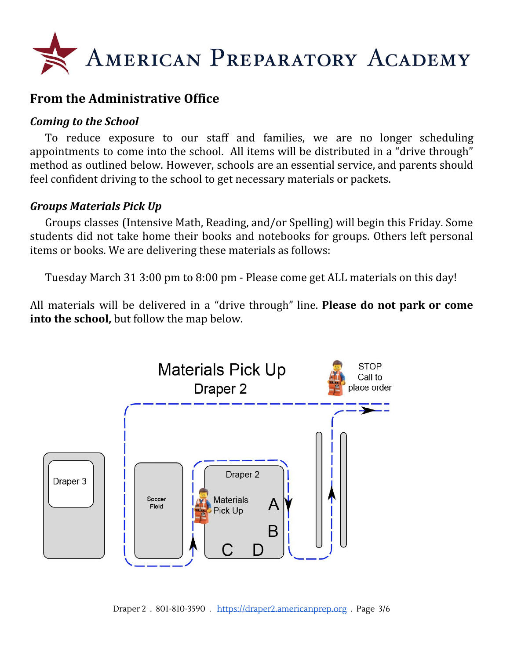

## **From the Administrative Office**

#### *Coming to the School*

To reduce exposure to our staff and families, we are no longer scheduling appointments to come into the school. All items will be distributed in a "drive through" method as outlined below. However, schools are an essential service, and parents should feel confident driving to the school to get necessary materials or packets.

#### *Groups Materials Pick Up*

Groups classes (Intensive Math, Reading, and/or Spelling) will begin this Friday. Some students did not take home their books and notebooks for groups. Others left personal items or books. We are delivering these materials as follows:

Tuesday March 31 3:00 pm to 8:00 pm - Please come get ALL materials on this day!

All materials will be delivered in a "drive through" line. **Please do not park or come into the school,** but follow the map below.



Draper 2 . 801-810-3590 . [https://draper2.americanprep.org](https://draper2.americanprep.org/) . Page 3/6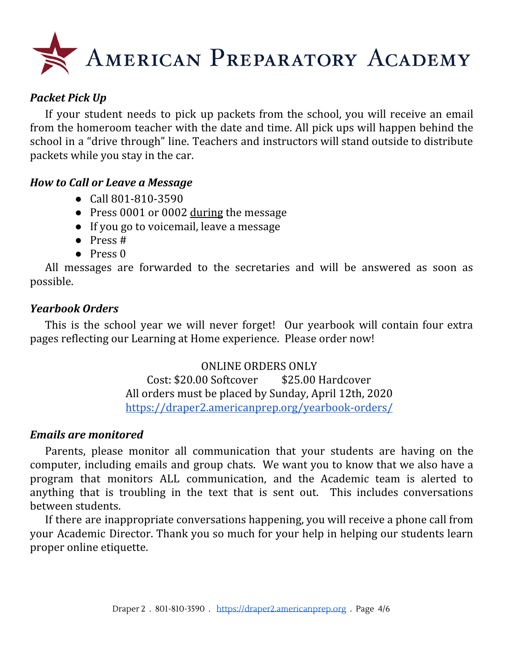

#### *Packet Pick Up*

If your student needs to pick up packets from the school, you will receive an email from the homeroom teacher with the date and time. All pick ups will happen behind the school in a "drive through" line. Teachers and instructors will stand outside to distribute packets while you stay in the car.

#### *How to Call or Leave a Message*

- Call 801-810-3590
- Press 0001 or 0002 during the message
- If you go to voicemail, leave a message
- Press #
- Press 0

All messages are forwarded to the secretaries and will be answered as soon as possible.

#### *Yearbook Orders*

This is the school year we will never forget! Our yearbook will contain four extra pages reflecting our Learning at Home experience. Please order now!

> ONLINE ORDERS ONLY Cost: \$20.00 Softcover \$25.00 Hardcover All orders must be placed by Sunday, April 12th, 2020 <https://draper2.americanprep.org/yearbook-orders/>

#### *Emails are monitored*

Parents, please monitor all communication that your students are having on the computer, including emails and group chats. We want you to know that we also have a program that monitors ALL communication, and the Academic team is alerted to anything that is troubling in the text that is sent out. This includes conversations between students.

If there are inappropriate conversations happening, you will receive a phone call from your Academic Director. Thank you so much for your help in helping our students learn proper online etiquette.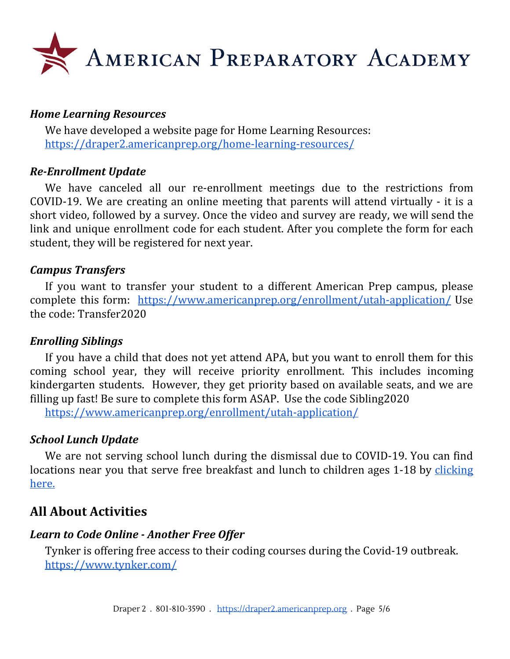

#### *Home Learning Resources*

We have developed a website page for Home Learning Resources: <https://draper2.americanprep.org/home-learning-resources/>

#### *Re-Enrollment Update*

We have canceled all our re-enrollment meetings due to the restrictions from COVID-19. We are creating an online meeting that parents will attend virtually - it is a short video, followed by a survey. Once the video and survey are ready, we will send the link and unique enrollment code for each student. After you complete the form for each student, they will be registered for next year.

#### *Campus Transfers*

If you want to transfer your student to a different American Prep campus, please complete this form: <https://www.americanprep.org/enrollment/utah-application/> Use the code: Transfer2020

#### *Enrolling Siblings*

If you have a child that does not yet attend APA, but you want to enroll them for this coming school year, they will receive priority enrollment. This includes incoming kindergarten students. However, they get priority based on available seats, and we are filling up fast! Be sure to complete this form ASAP. Use the code Sibling2020

<https://www.americanprep.org/enrollment/utah-application/>

#### *School Lunch Update*

We are not serving school lunch during the dismissal due to COVID-19. You can find locations near you that serve free breakfast and lunch to children ages 1-18 by [clicking](https://docs.google.com/document/d/1ipz9D2z5zWqOHSOToIYFT0FH7RpvSteVtLR9neRQq-E/edit?usp=sharing) [here.](https://docs.google.com/document/d/1ipz9D2z5zWqOHSOToIYFT0FH7RpvSteVtLR9neRQq-E/edit?usp=sharing)

### **All About Activities**

#### *Learn to Code Online - Another Free Offer*

Tynker is offering free access to their coding courses during the Covid-19 outbreak. <https://www.tynker.com/>